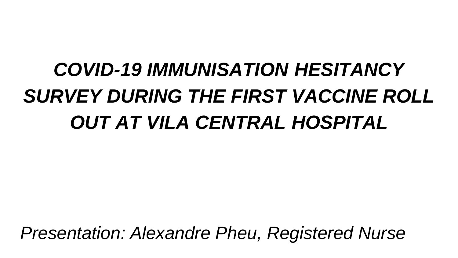# *COVID-19 IMMUNISATION HESITANCY SURVEY DURING THE FIRST VACCINE ROLL OUT AT VILA CENTRAL HOSPITAL*

*Presentation: Alexandre Pheu, Registered Nurse*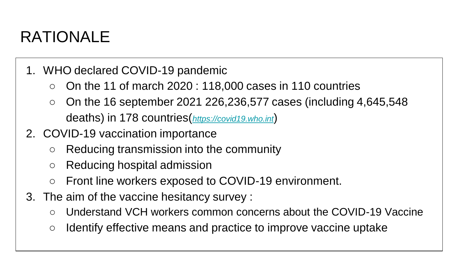# RATIONALE

- 1. WHO declared COVID-19 pandemic
	- On the 11 of march 2020 : 118,000 cases in 110 countries
	- $\circ$  On the 16 september 2021 226,236,577 cases (including 4,645,548 deaths) in 178 countries(*<https://covid19.who.int>*)
- 2. COVID-19 vaccination importance
	- Reducing transmission into the community
	- Reducing hospital admission
	- Front line workers exposed to COVID-19 environment.
- 3. The aim of the vaccine hesitancy survey :
	- Understand VCH workers common concerns about the COVID-19 Vaccine
	- Identify effective means and practice to improve vaccine uptake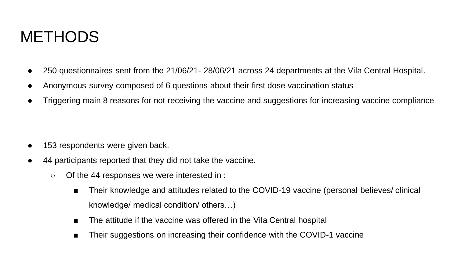#### **METHODS**

- 250 questionnaires sent from the 21/06/21- 28/06/21 across 24 departments at the Vila Central Hospital.
- Anonymous survey composed of 6 questions about their first dose vaccination status
- Triggering main 8 reasons for not receiving the vaccine and suggestions for increasing vaccine compliance

- 153 respondents were given back.
- 44 participants reported that they did not take the vaccine.
	- Of the 44 responses we were interested in :
		- Their knowledge and attitudes related to the COVID-19 vaccine (personal believes/ clinical knowledge/ medical condition/ others…)
		- The attitude if the vaccine was offered in the Vila Central hospital
		- Their suggestions on increasing their confidence with the COVID-1 vaccine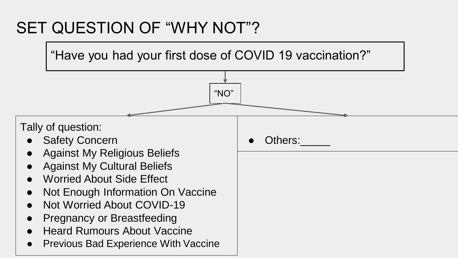# SET QUESTION OF "WHY NOT"?

"Have you had your first dose of COVID 19 vaccination?"

"NO"

Tally of question:

- **Safety Concern**
- **Against My Religious Beliefs**
- **Against My Cultural Beliefs**
- **Worried About Side Effect**
- **Not Enough Information On Vaccine**
- **Not Worried About COVID-19**
- **Pregnancy or Breastfeeding**
- **Heard Rumours About Vaccine**
- **Previous Bad Experience With Vaccine**

Others: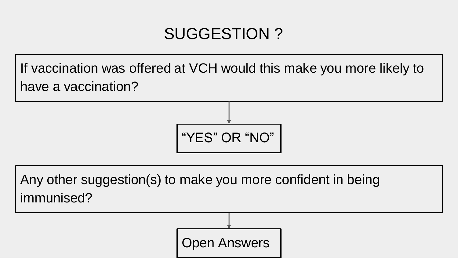# SUGGESTION ?

If vaccination was offered at VCH would this make you more likely to have a vaccination?



Open Answers

Any other suggestion(s) to make you more confident in being immunised?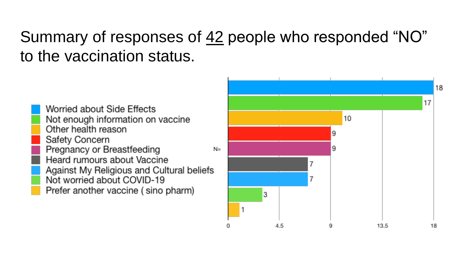# Summary of responses of 42 people who responded "NO" to the vaccination status.

Worried about Side Effects Not enough information on vaccine Other health reason Safety Concern Pregnancy or Breastfeeding Heard rumours about Vaccine Against My Religious and Cultural beliefs Not worried about COVID-19 Prefer another vaccine (sino pharm)

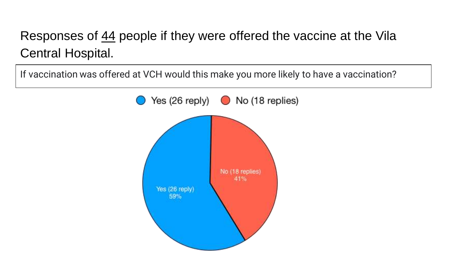#### Responses of 44 people if they were offered the vaccine at the Vila Central Hospital.

If vaccination was offered at VCH would this make you more likely to have a vaccination?

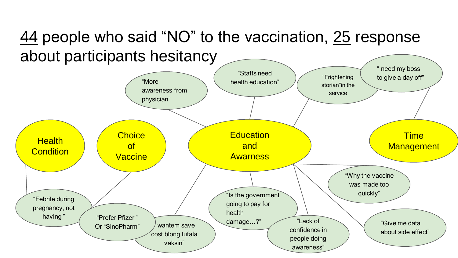# 44 people who said "NO" to the vaccination, 25 response about participants hesitancy

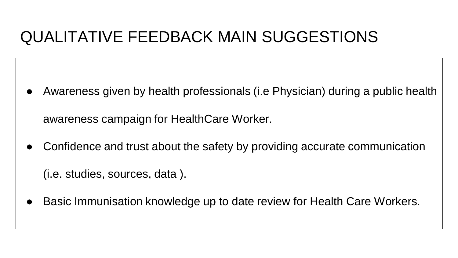#### QUALITATIVE FEEDBACK MAIN SUGGESTIONS

Awareness given by health professionals (i.e Physician) during a public health

awareness campaign for HealthCare Worker.

Confidence and trust about the safety by providing accurate communication

(i.e. studies, sources, data ).

Basic Immunisation knowledge up to date review for Health Care Workers.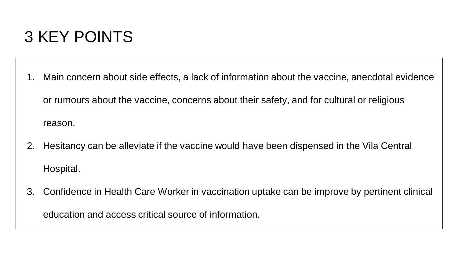#### 3 KEY POINTS

- 1. Main concern about side effects, a lack of information about the vaccine, anecdotal evidence or rumours about the vaccine, concerns about their safety, and for cultural or religious reason.
- 2. Hesitancy can be alleviate if the vaccine would have been dispensed in the Vila Central Hospital.
- 3. Confidence in Health Care Worker in vaccination uptake can be improve by pertinent clinical education and access critical source of information.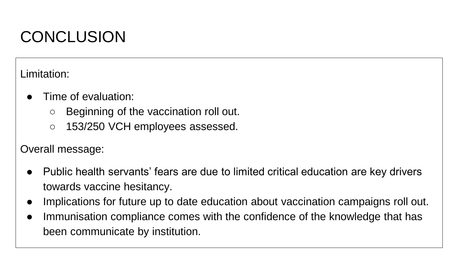# **CONCLUSION**

Limitation:

- Time of evaluation:
	- Beginning of the vaccination roll out.
	- 153/250 VCH employees assessed.

Overall message:

- Public health servants' fears are due to limited critical education are key drivers towards vaccine hesitancy.
- Implications for future up to date education about vaccination campaigns roll out.
- Immunisation compliance comes with the confidence of the knowledge that has been communicate by institution.